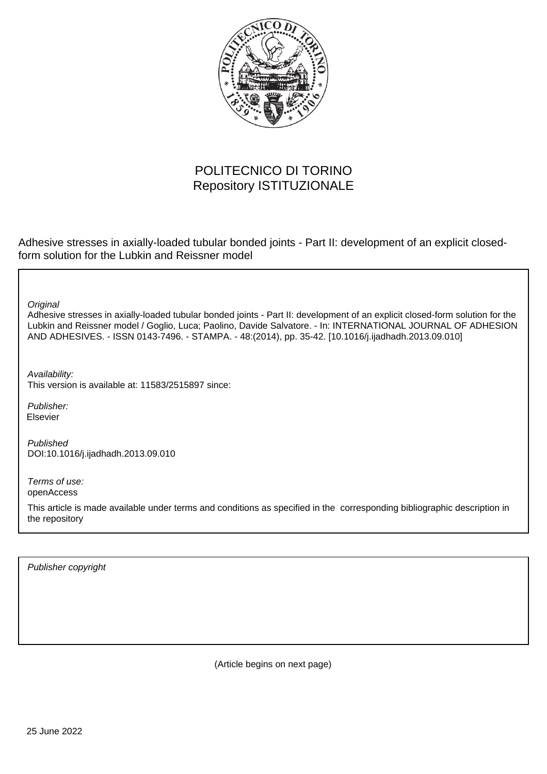

# POLITECNICO DI TORINO Repository ISTITUZIONALE

Adhesive stresses in axially-loaded tubular bonded joints - Part II: development of an explicit closedform solution for the Lubkin and Reissner model

**Original** 

Adhesive stresses in axially-loaded tubular bonded joints - Part II: development of an explicit closed-form solution for the Lubkin and Reissner model / Goglio, Luca; Paolino, Davide Salvatore. - In: INTERNATIONAL JOURNAL OF ADHESION AND ADHESIVES. - ISSN 0143-7496. - STAMPA. - 48:(2014), pp. 35-42. [10.1016/j.ijadhadh.2013.09.010]

Availability: This version is available at: 11583/2515897 since:

Publisher: Elsevier

Published DOI:10.1016/j.ijadhadh.2013.09.010

Terms of use: openAccess

This article is made available under terms and conditions as specified in the corresponding bibliographic description in the repository

Publisher copyright

(Article begins on next page)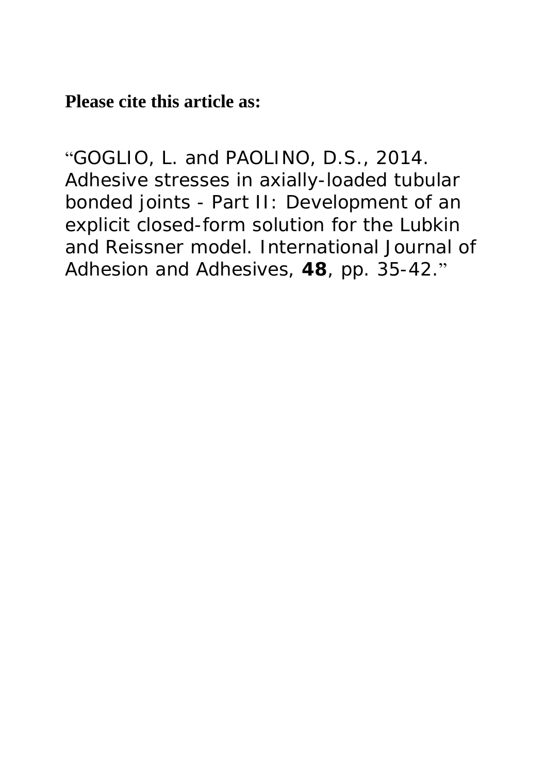**Please cite this article as:** 

"GOGLIO, L. and PAOLINO, D.S., 2014. Adhesive stresses in axially-loaded tubular bonded joints - Part II: Development of an explicit closed-form solution for the Lubkin and Reissner model. *International Journal of Adhesion and Adhesives,* **48**, pp. 35-42."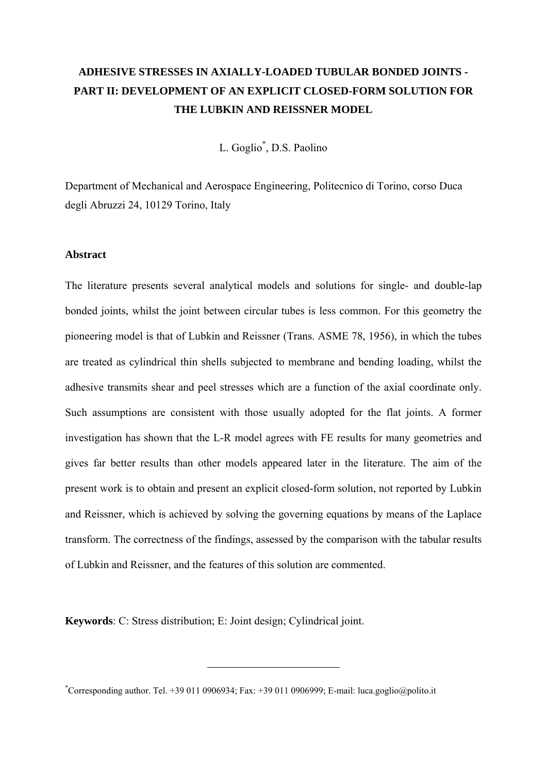# **ADHESIVE STRESSES IN AXIALLY-LOADED TUBULAR BONDED JOINTS - PART II: DEVELOPMENT OF AN EXPLICIT CLOSED-FORM SOLUTION FOR THE LUBKIN AND REISSNER MODEL**

L. Goglio\* , D.S. Paolino

Department of Mechanical and Aerospace Engineering, Politecnico di Torino, corso Duca degli Abruzzi 24, 10129 Torino, Italy

#### **Abstract**

The literature presents several analytical models and solutions for single- and double-lap bonded joints, whilst the joint between circular tubes is less common. For this geometry the pioneering model is that of Lubkin and Reissner (Trans. ASME 78, 1956), in which the tubes are treated as cylindrical thin shells subjected to membrane and bending loading, whilst the adhesive transmits shear and peel stresses which are a function of the axial coordinate only. Such assumptions are consistent with those usually adopted for the flat joints. A former investigation has shown that the L-R model agrees with FE results for many geometries and gives far better results than other models appeared later in the literature. The aim of the present work is to obtain and present an explicit closed-form solution, not reported by Lubkin and Reissner, which is achieved by solving the governing equations by means of the Laplace transform. The correctness of the findings, assessed by the comparison with the tabular results of Lubkin and Reissner, and the features of this solution are commented.

**Keywords**: C: Stress distribution; E: Joint design; Cylindrical joint.

\* Corresponding author. Tel. +39 011 0906934; Fax: +39 011 0906999; E-mail: luca.goglio@polito.it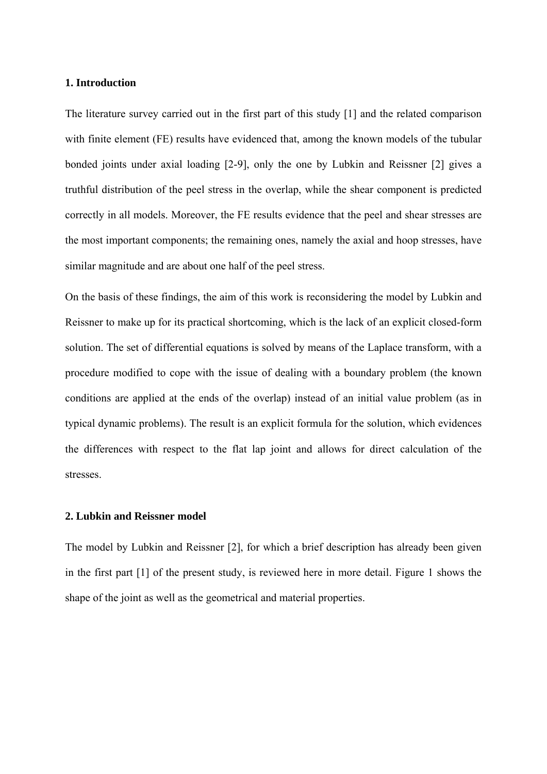#### **1. Introduction**

The literature survey carried out in the first part of this study [1] and the related comparison with finite element (FE) results have evidenced that, among the known models of the tubular bonded joints under axial loading [2-9], only the one by Lubkin and Reissner [2] gives a truthful distribution of the peel stress in the overlap, while the shear component is predicted correctly in all models. Moreover, the FE results evidence that the peel and shear stresses are the most important components; the remaining ones, namely the axial and hoop stresses, have similar magnitude and are about one half of the peel stress.

On the basis of these findings, the aim of this work is reconsidering the model by Lubkin and Reissner to make up for its practical shortcoming, which is the lack of an explicit closed-form solution. The set of differential equations is solved by means of the Laplace transform, with a procedure modified to cope with the issue of dealing with a boundary problem (the known conditions are applied at the ends of the overlap) instead of an initial value problem (as in typical dynamic problems). The result is an explicit formula for the solution, which evidences the differences with respect to the flat lap joint and allows for direct calculation of the stresses.

#### **2. Lubkin and Reissner model**

The model by Lubkin and Reissner [2], for which a brief description has already been given in the first part [1] of the present study, is reviewed here in more detail. Figure 1 shows the shape of the joint as well as the geometrical and material properties.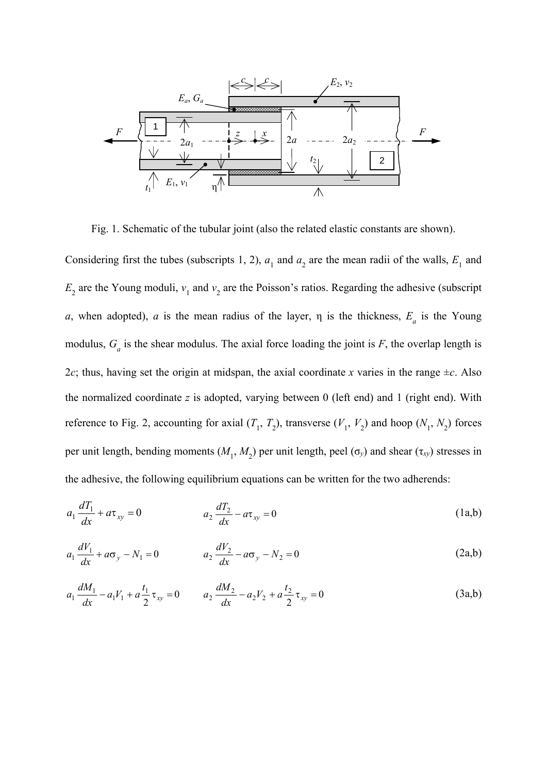

Fig. 1. Schematic of the tubular joint (also the related elastic constants are shown).

Considering first the tubes (subscripts 1, 2),  $a_1$  and  $a_2$  are the mean radii of the walls,  $E_1$  and  $E_2$  are the Young moduli,  $v_1$  and  $v_2$  are the Poisson's ratios. Regarding the adhesive (subscript *a*, when adopted), *a* is the mean radius of the layer,  $\eta$  is the thickness,  $E_a$  is the Young modulus,  $G_a$  is the shear modulus. The axial force loading the joint is  $F$ , the overlap length is 2*c*; thus, having set the origin at midspan, the axial coordinate *x* varies in the range  $\pm c$ . Also the normalized coordinate *z* is adopted, varying between 0 (left end) and 1 (right end). With reference to Fig. 2, accounting for axial  $(T_1, T_2)$ , transverse  $(V_1, V_2)$  and hoop  $(N_1, N_2)$  forces per unit length, bending moments  $(M_1, M_2)$  per unit length, peel  $(\sigma_y)$  and shear  $(\tau_{xy})$  stresses in the adhesive, the following equilibrium equations can be written for the two adherends:

$$
a_1 \frac{dT_1}{dx} + a\tau_{xy} = 0 \qquad a_2 \frac{dT_2}{dx} - a\tau_{xy} = 0 \qquad (1a,b)
$$

$$
a_1 \frac{dV_1}{dx} + a\sigma_y - N_1 = 0 \qquad a_2 \frac{dV_2}{dx} - a\sigma_y - N_2 = 0 \qquad (2a,b)
$$

$$
a_1 \frac{dM_1}{dx} - a_1 V_1 + a \frac{t_1}{2} \tau_{xy} = 0 \qquad a_2 \frac{dM_2}{dx} - a_2 V_2 + a \frac{t_2}{2} \tau_{xy} = 0 \tag{3a,b}
$$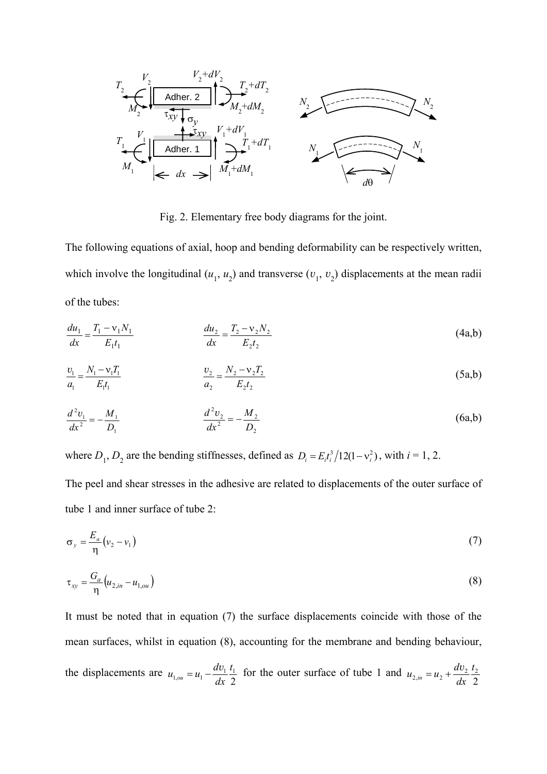

Fig. 2. Elementary free body diagrams for the joint.

The following equations of axial, hoop and bending deformability can be respectively written, which involve the longitudinal  $(u_1, u_2)$  and transverse  $(v_1, v_2)$  displacements at the mean radii of the tubes:

$$
\frac{du_1}{dx} = \frac{T_1 - v_1 N_1}{E_1 t_1} \qquad \qquad \frac{du_2}{dx} = \frac{T_2 - v_2 N_2}{E_2 t_2} \tag{4a,b}
$$

$$
\frac{v_1}{a_1} = \frac{N_1 - v_1 T_1}{E_1 t_1}
$$
\n
$$
\frac{v_2}{a_2} = \frac{N_2 - v_2 T_2}{E_2 t_2}
$$
\n(5a,b)

$$
\frac{d^2v_1}{dx^2} = -\frac{M_1}{D_1} \qquad \frac{d^2v_2}{dx^2} = -\frac{M_2}{D_2} \qquad (6a,b)
$$

where  $D_1$ ,  $D_2$  are the bending stiffnesses, defined as  $D_i = E_i t_i^3 / 12(1 - v_i^2)$ , with  $i = 1, 2$ .

The peel and shear stresses in the adhesive are related to displacements of the outer surface of tube 1 and inner surface of tube 2:

$$
\sigma_y = \frac{E_a}{\eta} \left( v_2 - v_1 \right) \tag{7}
$$

$$
\tau_{xy} = \frac{G_a}{\eta} \left( u_{2,in} - u_{1,out} \right) \tag{8}
$$

It must be noted that in equation (7) the surface displacements coincide with those of the mean surfaces, whilst in equation (8), accounting for the membrane and bending behaviour, the displacements are  $u_{1,ou} = u_1 - \frac{uv_1}{dx} \frac{v_1}{2}$ *t dx*  $u_{1,ou} = u_1 - \frac{dv_1}{du_1} \frac{t_1}{2}$  for the outer surface of tube 1 and 2  $u_{2,in} = u_2 + \frac{uv_2}{v_{2}} \frac{v_2}{2}$ *t dx*  $u_{2,in} = u_2 + \frac{dv}{dt}$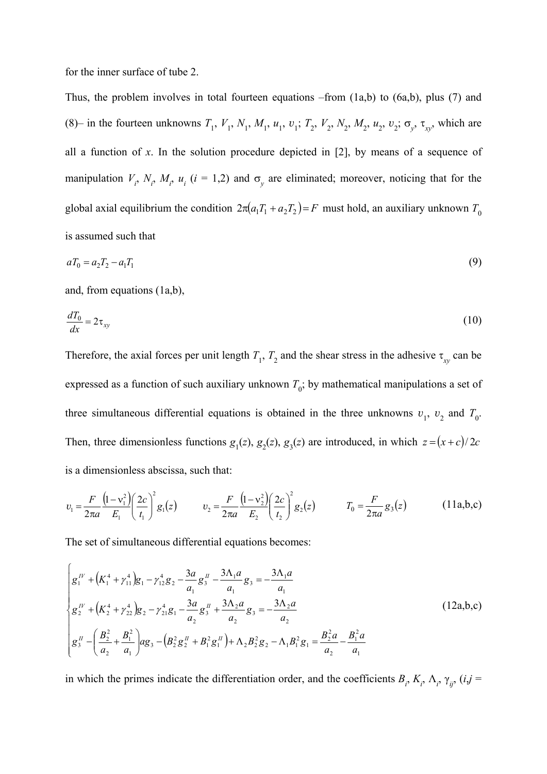for the inner surface of tube 2.

Thus, the problem involves in total fourteen equations –from (1a,b) to (6a,b), plus (7) and (8)– in the fourteen unknowns  $T_1$ ,  $V_1$ ,  $N_1$ ,  $M_1$ ,  $u_1$ ,  $v_1$ ;  $T_2$ ,  $V_2$ ,  $N_2$ ,  $M_2$ ,  $u_2$ ,  $v_2$ ;  $\sigma_y$ ,  $\tau_{xy}$ , which are all a function of *x*. In the solution procedure depicted in [2], by means of a sequence of manipulation  $V_i$ ,  $N_i$ ,  $M_i$ ,  $u_i$  ( $i = 1,2$ ) and  $\sigma_y$  are eliminated; moreover, noticing that for the global axial equilibrium the condition  $2\pi (a_1T_1 + a_2T_2) = F$  must hold, an auxiliary unknown  $T_0$ is assumed such that

$$
aT_0 = a_2T_2 - a_1T_1 \tag{9}
$$

and, from equations (1a,b),

$$
\frac{dT_0}{dx} = 2\tau_{xy} \tag{10}
$$

Therefore, the axial forces per unit length  $T_1$ ,  $T_2$  and the shear stress in the adhesive  $\tau_{xy}$  can be expressed as a function of such auxiliary unknown  $T_0$ ; by mathematical manipulations a set of three simultaneous differential equations is obtained in the three unknowns  $v_1$ ,  $v_2$  and  $T_0$ . Then, three dimensionless functions  $g_1(z)$ ,  $g_2(z)$ ,  $g_3(z)$  are introduced, in which  $z = (x + c)/2c$ is a dimensionless abscissa, such that:

$$
v_1 = \frac{F}{2\pi a} \frac{\left(1 - v_1^2\right)}{E_1} \left(\frac{2c}{t_1}\right)^2 g_1(z) \qquad v_2 = \frac{F}{2\pi a} \frac{\left(1 - v_2^2\right)}{E_2} \left(\frac{2c}{t_2}\right)^2 g_2(z) \qquad T_0 = \frac{F}{2\pi a} g_3(z) \qquad (11a,b,c)
$$

The set of simultaneous differential equations becomes:

$$
\begin{cases}\ng_{1}^{IV} + (K_{1}^{4} + \gamma_{11}^{4})g_{1} - \gamma_{12}^{4}g_{2} - \frac{3a}{a_{1}}g_{3}^{II} - \frac{3\Lambda_{1}a}{a_{1}}g_{3} = -\frac{3\Lambda_{1}a}{a_{1}} \\
g_{2}^{IV} + (K_{2}^{4} + \gamma_{22}^{4})g_{2} - \gamma_{21}^{4}g_{1} - \frac{3a}{a_{2}}g_{3}^{II} + \frac{3\Lambda_{2}a}{a_{2}}g_{3} = -\frac{3\Lambda_{2}a}{a_{2}} \\
g_{3}^{II} - \left(\frac{B_{2}^{2}}{a_{2}} + \frac{B_{1}^{2}}{a_{1}}\right)ag_{3} - \left(B_{2}^{2}g_{2}^{II} + B_{1}^{2}g_{1}^{II}\right) + \Lambda_{2}B_{2}^{2}g_{2} - \Lambda_{1}B_{1}^{2}g_{1} = \frac{B_{2}^{2}a}{a_{2}} - \frac{B_{1}^{2}a}{a_{1}}\n\end{cases}
$$
\n(12a,b,c)

in which the primes indicate the differentiation order, and the coefficients  $B_i$ ,  $K_i$ ,  $\Lambda_i$ ,  $\gamma_{ij}$ ,  $(i, j =$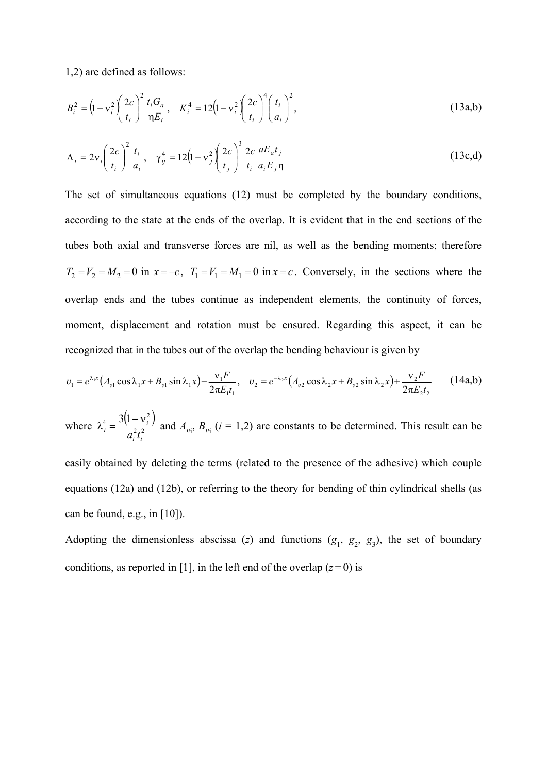1,2) are defined as follows:

$$
B_i^2 = \left(1 - v_i^2 \left(\frac{2c}{t_i}\right)^2 \frac{t_i G_a}{\eta E_i}, \quad K_i^4 = 12 \left(1 - v_i^2 \left(\frac{2c}{t_i}\right)^4 \left(\frac{t_i}{a_i}\right)^2\right),\tag{13a,b}
$$

$$
\Lambda_{i} = 2v_{i} \left(\frac{2c}{t_{i}}\right)^{2} \frac{t_{i}}{a_{i}}, \quad \gamma_{ij}^{4} = 12 \left(1 - v_{j}^{2} \left(\frac{2c}{t_{j}}\right)^{3} \frac{2c}{t_{i}} \frac{aE_{a}t_{j}}{a_{i}E_{j} \eta} \tag{13c,d}
$$

The set of simultaneous equations (12) must be completed by the boundary conditions, according to the state at the ends of the overlap. It is evident that in the end sections of the tubes both axial and transverse forces are nil, as well as the bending moments; therefore  $T_2 = V_2 = M_2 = 0$  in  $x = -c$ ,  $T_1 = V_1 = M_1 = 0$  in  $x = c$ . Conversely, in the sections where the overlap ends and the tubes continue as independent elements, the continuity of forces, moment, displacement and rotation must be ensured. Regarding this aspect, it can be recognized that in the tubes out of the overlap the bending behaviour is given by

$$
v_1 = e^{\lambda_1 x} (A_{v1} \cos \lambda_1 x + B_{v1} \sin \lambda_1 x) - \frac{v_1 F}{2\pi E_1 t_1}, \quad v_2 = e^{-\lambda_2 x} (A_{v2} \cos \lambda_2 x + B_{v2} \sin \lambda_2 x) + \frac{v_2 F}{2\pi E_2 t_2}
$$
(14a,b)

where  $\lambda_i^4 = \frac{3(1 - v_i^2)}{g^2 \lambda_i^2}$  $4\sqrt{3(1-\nu_i^2)}$ *i i*  $\lambda_i^4 = \frac{3(1 - v_i^2)}{a_i^2 t_i^2}$  and  $A_{vi}$ ,  $B_{vi}$  (*i* = 1,2) are constants to be determined. This result can be

easily obtained by deleting the terms (related to the presence of the adhesive) which couple equations (12a) and (12b), or referring to the theory for bending of thin cylindrical shells (as can be found, e.g., in [10]).

Adopting the dimensionless abscissa (*z*) and functions  $(g_1, g_2, g_3)$ , the set of boundary conditions, as reported in [1], in the left end of the overlap  $(z=0)$  is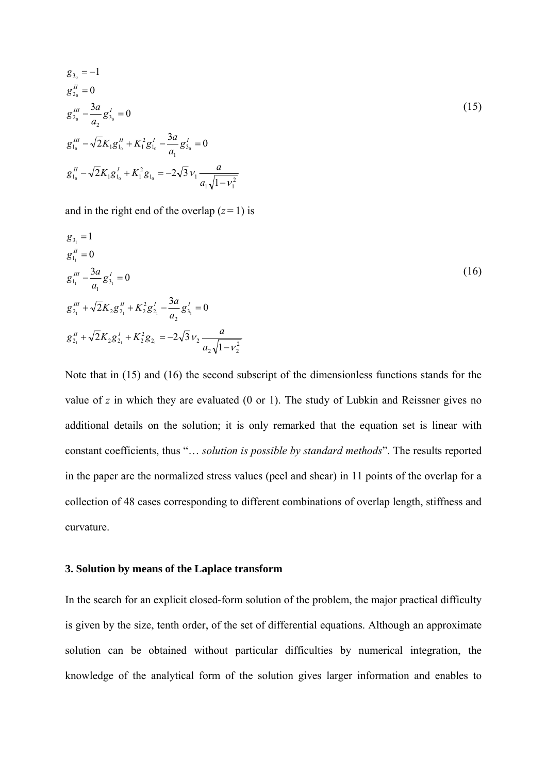$$
g_{3_0} = -1
$$
  
\n
$$
g_{2_0}^{\prime\prime\prime} = 0
$$
  
\n
$$
g_{3_0}^{\prime\prime\prime} = 0
$$
  
\n
$$
g_{2_0}^{\prime\prime\prime} - \frac{3a}{a_2} g_{3_0}^{\prime\prime} = 0
$$
  
\n
$$
g_{1_0}^{\prime\prime\prime} - \sqrt{2} K_1 g_{1_0}^{\prime\prime\prime} + K_1^2 g_{1_0}^{\prime\prime} - \frac{3a}{a_1} g_{3_0}^{\prime\prime} = 0
$$
  
\n
$$
g_{1_0}^{\prime\prime\prime} - \sqrt{2} K_1 g_{1_0}^{\prime\prime} + K_1^2 g_{1_0} = -2\sqrt{3} v_1 \frac{a}{a_1 \sqrt{1 - v_1^2}}
$$
\n(15)

and in the right end of the overlap  $(z=1)$  is

$$
g_{3_1} = 1
$$
  
\n
$$
g_{1_1}^H = 0
$$
  
\n
$$
g_{2_1}^H + \sqrt{2}K_2g_{2_1}^H + K_2^2g_{2_1}^I - \frac{3a}{a_2}g_{3_1}^I = 0
$$
  
\n
$$
g_{2_1}^H + \sqrt{2}K_2g_{2_1}^H + K_2^2g_{2_1}^I - \frac{3a}{a_2}g_{3_1}^I = 0
$$
  
\n
$$
g_{2_1}^H + \sqrt{2}K_2g_{2_1}^I + K_2^2g_{2_1} = -2\sqrt{3}v_2\frac{a}{a_2\sqrt{1 - v_2^2}}
$$
\n(16)

Note that in (15) and (16) the second subscript of the dimensionless functions stands for the value of *z* in which they are evaluated (0 or 1). The study of Lubkin and Reissner gives no additional details on the solution; it is only remarked that the equation set is linear with constant coefficients, thus "… *solution is possible by standard methods*". The results reported in the paper are the normalized stress values (peel and shear) in 11 points of the overlap for a collection of 48 cases corresponding to different combinations of overlap length, stiffness and curvature.

### **3. Solution by means of the Laplace transform**

In the search for an explicit closed-form solution of the problem, the major practical difficulty is given by the size, tenth order, of the set of differential equations. Although an approximate solution can be obtained without particular difficulties by numerical integration, the knowledge of the analytical form of the solution gives larger information and enables to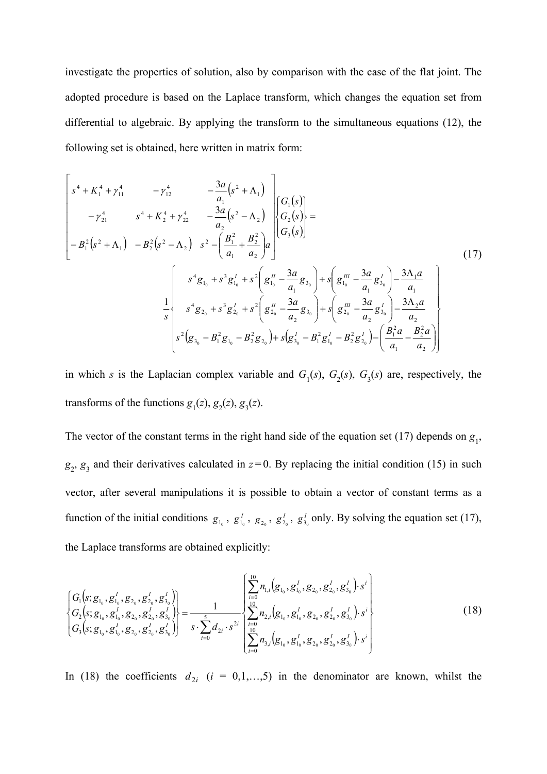investigate the properties of solution, also by comparison with the case of the flat joint. The adopted procedure is based on the Laplace transform, which changes the equation set from differential to algebraic. By applying the transform to the simultaneous equations (12), the following set is obtained, here written in matrix form:

$$
\begin{bmatrix}\ns^4 + K_1^4 + \gamma_{11}^4 & -\gamma_{12}^4 & -\frac{3a}{a_1}(s^2 + \Lambda_1) \\
-\gamma_{21}^4 & s^4 + K_2^4 + \gamma_{22}^4 & -\frac{3a}{a_2}(s^2 - \Lambda_2) \\
-B_1^2(s^2 + \Lambda_1) & -B_2^2(s^2 - \Lambda_2) & s^2 - \left(\frac{B_1^2}{a_1} + \frac{B_2^2}{a_2}\right)a\end{bmatrix}\begin{bmatrix}\nG_1(s) \\
G_2(s)\n\end{bmatrix} = \\
-B_1^2(s^2 + \Lambda_1) & -B_2^2(s^2 - \Lambda_2) & s^2 - \left(\frac{B_1^2}{a_1} + \frac{B_2^2}{a_2}\right)a\end{bmatrix}\begin{bmatrix}\nG_1(s) \\
G_2(s)\n\end{bmatrix} = (17)
$$
\n
$$
\frac{1}{s}\begin{bmatrix}\ns^4g_{1_0} + s^3g_{1_0}^1 + s^2\left(g_{1_0}^H - \frac{3a}{a_1}g_{3_0}\right) + s\left(g_{1_0}^H - \frac{3a}{a_1}g_{3_0}^I\right) - \frac{3\Lambda_1 a}{a_1} \\
s^4g_{2_0} + s^3g_{2_0}^I + s^2\left(g_{2_0}^H - \frac{3a}{a_2}g_{3_0}\right) + s\left(g_{2_0}^H - \frac{3a}{a_2}g_{3_0}^I\right) - \frac{3\Lambda_2 a}{a_2} \\
s^2(g_{3_0} - B_1^2g_{1_0} - B_2^2g_{2_0}) + s(g_{3_0}^I - B_1^2g_{1_0}^I - B_2^2g_{2_0}^I) - \left(\frac{B_1^2 a}{a_1} - \frac{B_2^2 a}{a_2}\right)\n\end{bmatrix}
$$
\n(17)

in which *s* is the Laplacian complex variable and  $G_1(s)$ ,  $G_2(s)$ ,  $G_3(s)$  are, respectively, the transforms of the functions  $g_1(z)$ ,  $g_2(z)$ ,  $g_3(z)$ .

The vector of the constant terms in the right hand side of the equation set  $(17)$  depends on  $g_1$ ,  $g_2, g_3$  and their derivatives calculated in  $z=0$ . By replacing the initial condition (15) in such vector, after several manipulations it is possible to obtain a vector of constant terms as a function of the initial conditions  $g_{1_0}$ ,  $g_{1_0}^I$ ,  $g_{2_0}$ ,  $g_{3_0}^I$  only. By solving the equation set (17), the Laplace transforms are obtained explicitly:

$$
\begin{bmatrix}\nG_1(s; g_{1_0}, g_{1_0}', g_{2_0}, g_{2_0}', g_{3_0}'] \\
G_2(s; g_{1_0}, g_{1_0}', g_{2_0}, g_{2_0}', g_{2_0}', g_{3_0}']\nG_3(s; g_{1_0}, g_{1_0}', g_{2_0}, g_{2_0}', g_{3_0}']\n\end{bmatrix} = \frac{1}{s \cdot \sum_{i=0}^{5} d_{2i} \cdot s^{2i}} \begin{bmatrix}\n\sum_{i=0}^{10} n_{1,i} (g_{1_0}, g_{1_0}', g_{2_0}, g_{2_0}', g_{3_0}') \cdot s^i \\
\sum_{i=0}^{10} n_{2,i} (g_{1_0}, g_{1_0}', g_{2_0}, g_{2_0}', g_{3_0}') \cdot s^i \\
\sum_{i=0}^{10} n_{3,i} (g_{1_0}, g_{1_0}', g_{2_0}, g_{2_0}', g_{3_0}') \cdot s^i\n\end{bmatrix}
$$
\n(18)

In (18) the coefficients  $d_{2i}$  ( $i = 0,1,...,5$ ) in the denominator are known, whilst the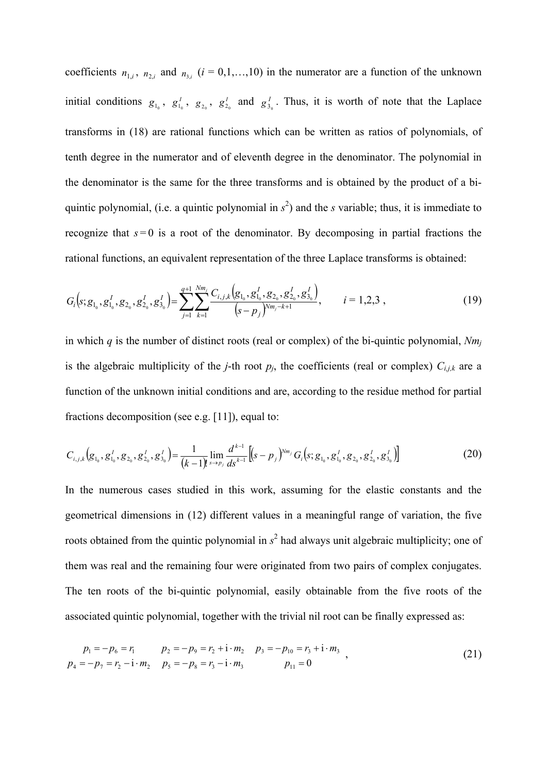coefficients  $n_{1,i}$ ,  $n_{2,i}$  and  $n_{3,i}$  ( $i = 0,1,...,10$ ) in the numerator are a function of the unknown initial conditions  $g_{1_0}$ ,  $g_{1_0}^I$ ,  $g_{2_0}$ ,  $g_{2_0}^I$  and  $g_{3_0}^I$ . Thus, it is worth of note that the Laplace transforms in (18) are rational functions which can be written as ratios of polynomials, of tenth degree in the numerator and of eleventh degree in the denominator. The polynomial in the denominator is the same for the three transforms and is obtained by the product of a biquintic polynomial, (i.e. a quintic polynomial in  $s^2$ ) and the *s* variable; thus, it is immediate to recognize that  $s = 0$  is a root of the denominator. By decomposing in partial fractions the rational functions, an equivalent representation of the three Laplace transforms is obtained:

$$
G_i(s; g_{1_0}, g_{1_0}^I, g_{2_0}, g_{2_0}^I, g_{3_0}^I) = \sum_{j=1}^{q+1} \sum_{k=1}^{N m_j} \frac{C_{i,j,k} \left(g_{1_0}, g_{1_0}^I, g_{2_0}, g_{2_0}^I, g_{3_0}^I\right)}{\left(s - p_j\right)^{N m_j - k + 1}}, \qquad i = 1, 2, 3, \qquad (19)
$$

in which *q* is the number of distinct roots (real or complex) of the bi-quintic polynomial, *Nmj* is the algebraic multiplicity of the *j*-th root  $p_i$ , the coefficients (real or complex)  $C_{i,j,k}$  are a function of the unknown initial conditions and are, according to the residue method for partial fractions decomposition (see e.g. [11]), equal to:

$$
C_{i,j,k}\left(g_{1_0},g_{1_0}^I,g_{2_0},g_{2_0}^I,g_{3_0}^I\right) = \frac{1}{(k-1)!} \lim_{s \to p_j} \frac{d^{k-1}}{ds^{k-1}} \left[ (s-p_j)^{Nm_j} G_i\left(s; g_{1_0},g_{1_0}^I,g_{2_0},g_{2_0}^I,g_{3_0}^I \right) \right]
$$
(20)

In the numerous cases studied in this work, assuming for the elastic constants and the geometrical dimensions in (12) different values in a meaningful range of variation, the five roots obtained from the quintic polynomial in  $s<sup>2</sup>$  had always unit algebraic multiplicity; one of them was real and the remaining four were originated from two pairs of complex conjugates. The ten roots of the bi-quintic polynomial, easily obtainable from the five roots of the associated quintic polynomial, together with the trivial nil root can be finally expressed as:

$$
p_1 = -p_6 = r_1 \t p_2 = -p_9 = r_2 + i \cdot m_2 \t p_3 = -p_{10} = r_3 + i \cdot m_3
$$
  
\n
$$
p_4 = -p_7 = r_2 - i \cdot m_2 \t p_5 = -p_8 = r_3 - i \cdot m_3 \t p_{11} = 0
$$
\n(21)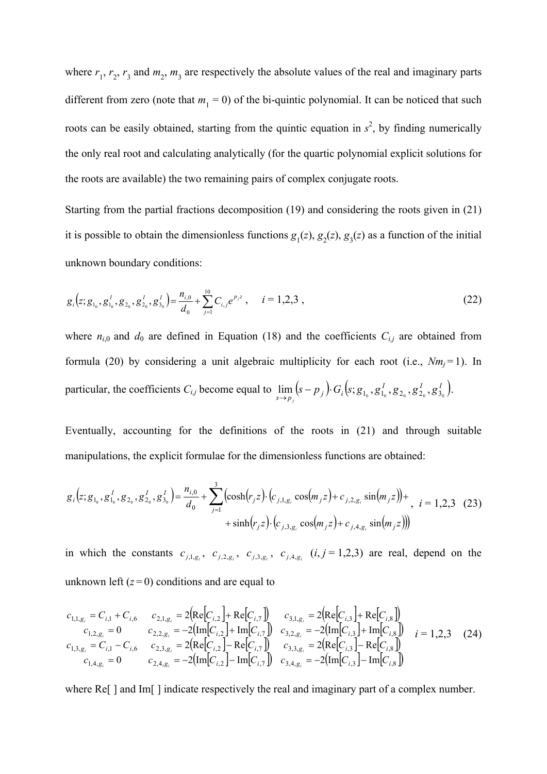where  $r_1$ ,  $r_2$ ,  $r_3$  and  $m_2$ ,  $m_3$  are respectively the absolute values of the real and imaginary parts different from zero (note that  $m_1 = 0$ ) of the bi-quintic polynomial. It can be noticed that such roots can be easily obtained, starting from the quintic equation in  $s^2$ , by finding numerically the only real root and calculating analytically (for the quartic polynomial explicit solutions for the roots are available) the two remaining pairs of complex conjugate roots.

Starting from the partial fractions decomposition (19) and considering the roots given in (21) it is possible to obtain the dimensionless functions  $g_1(z)$ ,  $g_2(z)$ ,  $g_3(z)$  as a function of the initial unknown boundary conditions:

$$
g_i(z; g_{1_0}, g_{1_0}^I, g_{2_0}, g_{2_0}^I, g_{3_0}^I) = \frac{n_{i,0}}{d_0} + \sum_{j=1}^{10} C_{i,j} e^{p_j z}, \quad i = 1, 2, 3,
$$
\n(22)

where  $n_{i,0}$  and  $d_0$  are defined in Equation (18) and the coefficients  $C_{i,j}$  are obtained from formula (20) by considering a unit algebraic multiplicity for each root (i.e.,  $Nm_j = 1$ ). In particular, the coefficients  $C_{i,j}$  become equal to  $\lim_{s\to p_j} (s-p_j) \cdot G_i(s; g_{1_0}, g_{1_0}^I, g_{2_0}, g_{2_0}^I, g_{3_0}^I)$ .

Eventually, accounting for the definitions of the roots in (21) and through suitable manipulations, the explicit formulae for the dimensionless functions are obtained:

$$
g_i(z; g_{1_0}, g'_{1_0}, g_{2_0}, g'_{2_0}, g'_{3_0}) = \frac{n_{i,0}}{d_0} + \sum_{j=1}^3 \left( \cosh(r_j z) \cdot (c_{j,1,g_i} \cos(m_j z) + c_{j,2,g_i} \sin(m_j z)) + \sinh(r_j z) \cdot (c_{j,3,g_i} \cos(m_j z) + c_{j,4,g_i} \sin(m_j z)) \right)
$$

in which the constants  $c_{j,1,g_i}$ ,  $c_{j,2,g_i}$ ,  $c_{j,3,g_i}$ ,  $c_{j,4,g_i}$   $(i,j=1,2,3)$  are real, depend on the unknown left  $(z=0)$  conditions and are equal to

$$
c_{1,1,g_i} = C_{i,1} + C_{i,6} \t c_{2,1,g_i} = 2(\text{Re}[C_{i,2}] + \text{Re}[C_{i,7}]) \t c_{3,1,g_i} = 2(\text{Re}[C_{i,3}] + \text{Re}[C_{i,8}])
$$
  
\n
$$
c_{1,2,g_i} = 0 \t c_{2,2,g_i} = -2(\text{Im}[C_{i,2}] + \text{Im}[C_{i,7}]) \t c_{3,2,g_i} = -2(\text{Im}[C_{i,3}] + \text{Im}[C_{i,8}])
$$
  
\n
$$
c_{1,3,g_i} = C_{i,1} - C_{i,6} \t c_{2,3,g_i} = 2(\text{Re}[C_{i,2}] - \text{Re}[C_{i,7}]) \t c_{3,3,g_i} = 2(\text{Re}[C_{i,3}] - \text{Re}[C_{i,8}])
$$
  
\n
$$
c_{1,4,g_i} = 0 \t c_{2,4,g_i} = -2(\text{Im}[C_{i,2}] - \text{Im}[C_{i,7}]) \t c_{3,4,g_i} = -2(\text{Im}[C_{i,3}] - \text{Im}[C_{i,8}])
$$

where Re<sup>[]</sup> and Im<sup>[]</sup> indicate respectively the real and imaginary part of a complex number.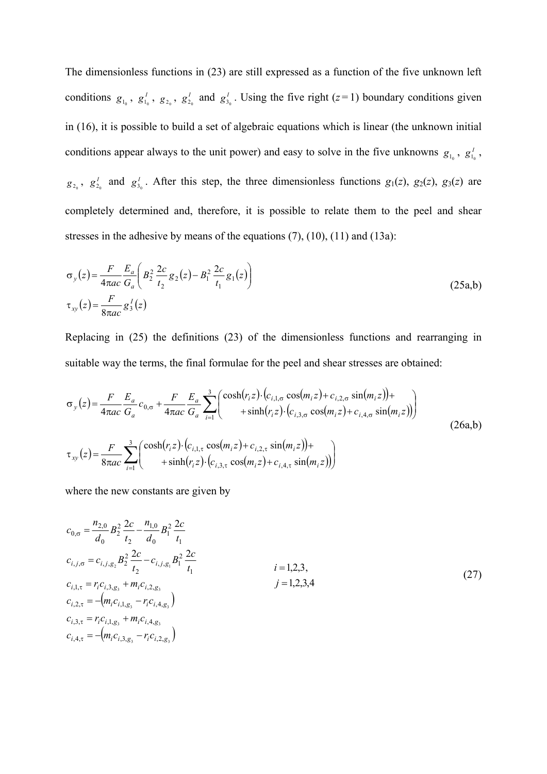The dimensionless functions in (23) are still expressed as a function of the five unknown left conditions  $g_{1_0}$ ,  $g'_{1_0}$ ,  $g_{2_0}$ ,  $g'_{2_0}$  and  $g'_{3_0}$ . Using the five right (*z* = 1) boundary conditions given in (16), it is possible to build a set of algebraic equations which is linear (the unknown initial conditions appear always to the unit power) and easy to solve in the five unknowns  $g_{1_o}$ ,  $g_{1_o}^I$ ,  $g_{2_0}$ ,  $g_{2_0}^I$  and  $g_{3_0}^I$ . After this step, the three dimensionless functions  $g_1(z)$ ,  $g_2(z)$ ,  $g_3(z)$  are completely determined and, therefore, it is possible to relate them to the peel and shear stresses in the adhesive by means of the equations (7), (10), (11) and (13a):

$$
\sigma_y(z) = \frac{F}{4\pi ac} \frac{E_a}{G_a} \left( B_2^2 \frac{2c}{t_2} g_2(z) - B_1^2 \frac{2c}{t_1} g_1(z) \right)
$$
  
\n
$$
\tau_{xy}(z) = \frac{F}{8\pi ac} g_3^T(z)
$$
\n(25a,b)

Replacing in (25) the definitions (23) of the dimensionless functions and rearranging in suitable way the terms, the final formulae for the peel and shear stresses are obtained:

$$
\sigma_{y}(z) = \frac{F}{4\pi ac} \frac{E_{a}}{G_{a}} c_{0,\sigma} + \frac{F}{4\pi ac} \frac{E_{a}}{G_{a}} \sum_{i=1}^{3} \left( \frac{\cosh(r_{i}z) \cdot (c_{i,1,\sigma} \cos(m_{i}z) + c_{i,2,\sigma} \sin(m_{i}z)) + (c_{i,1,\sigma} \cos(m_{i}z) + c_{i,2,\sigma} \sin(m_{i}z)) + \sinh(r_{i}z) \cdot (c_{i,3,\sigma} \cos(m_{i}z) + c_{i,4,\sigma} \sin(m_{i}z)) \right)
$$
\n
$$
\tau_{xy}(z) = \frac{F}{8\pi ac} \sum_{i=1}^{3} \left( \frac{\cosh(r_{i}z) \cdot (c_{i,1,\tau} \cos(m_{i}z) + c_{i,2,\tau} \sin(m_{i}z)) + (c_{i,3,\tau} \cos(m_{i}z) + c_{i,4,\tau} \sin(m_{i}z)) \right)
$$
\n
$$
(26a,b)
$$

where the new constants are given by

$$
c_{0,\sigma} = \frac{n_{2,0}}{d_0} B_2^2 \frac{2c}{t_2} - \frac{n_{1,0}}{d_0} B_1^2 \frac{2c}{t_1}
$$
  
\n
$$
c_{i,j,\sigma} = c_{i,j,g_2} B_2^2 \frac{2c}{t_2} - c_{i,j,g_1} B_1^2 \frac{2c}{t_1}
$$
  
\n
$$
c_{i,1,\tau} = r_i c_{i,3,g_3} + m_i c_{i,2,g_3}
$$
  
\n
$$
c_{i,2,\tau} = -(m_i c_{i,1,g_3} - r_i c_{i,4,g_3})
$$
  
\n
$$
c_{i,3,\tau} = r_i c_{i,1,g_3} + m_i c_{i,4,g_3}
$$
  
\n
$$
c_{i,4,\tau} = -(m_i c_{i,3,g_3} - r_i c_{i,2,g_3})
$$
\n(27)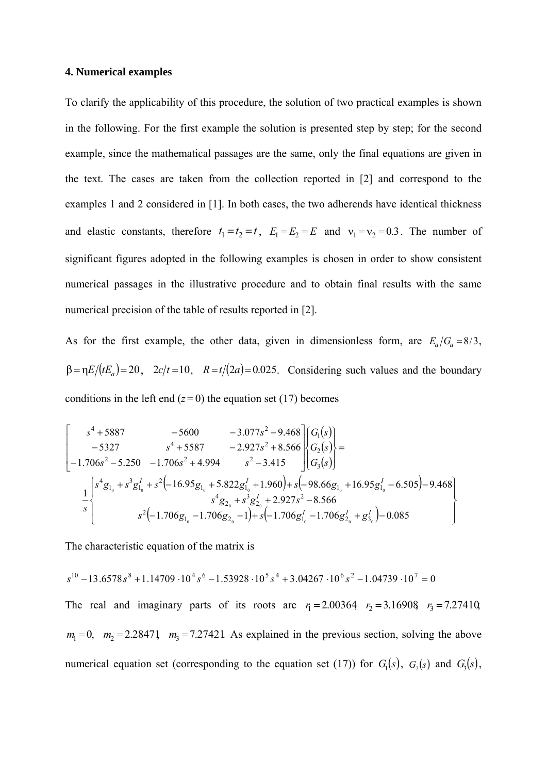#### **4. Numerical examples**

To clarify the applicability of this procedure, the solution of two practical examples is shown in the following. For the first example the solution is presented step by step; for the second example, since the mathematical passages are the same, only the final equations are given in the text. The cases are taken from the collection reported in [2] and correspond to the examples 1 and 2 considered in [1]. In both cases, the two adherends have identical thickness and elastic constants, therefore  $t_1 = t_2 = t$ ,  $E_1 = E_2 = E$  and  $v_1 = v_2 = 0.3$ . The number of significant figures adopted in the following examples is chosen in order to show consistent numerical passages in the illustrative procedure and to obtain final results with the same numerical precision of the table of results reported in [2].

As for the first example, the other data, given in dimensionless form, are  $E_a/G_a = 8/3$ ,  $\beta = \frac{\eta E}{tE_a} = 20$ ,  $2c/t = 10$ ,  $R = t/(2a) = 0.025$ . Considering such values and the boundary conditions in the left end  $(z=0)$  the equation set (17) becomes

$$
\begin{bmatrix}\ns^4 + 5887 & -5600 & -3.077s^2 - 9.468 \\
-5327 & s^4 + 5587 & -2.927s^2 + 8.566 \\
-1.706s^2 - 5.250 & -1.706s^2 + 4.994 & s^2 - 3.415\n\end{bmatrix}\n\begin{bmatrix}\nG_1(s) \\
G_2(s) \\
G_3(s)\n\end{bmatrix} = \n\begin{bmatrix}\ns^4 g_{1_0} + s^3 g_1^I + s^2 (-16.95g_{1_0} + 5.822g_{1_0}^I + 1.960) + s(-98.66g_{1_0} + 16.95g_{1_0}^I - 6.505) - 9.468 \\
s^4 g_{2_0} + s^3 g_{2_0}^I + 2.927s^2 - 8.566\n\end{bmatrix}
$$
\n
$$
s^2 (-1.706g_{1_0} - 1.706g_{2_0} - 1) + s(-1.706g_{1_0}^I - 1.706g_{2_0}^I + g_{3_0}^I) - 0.085
$$

The characteristic equation of the matrix is

$$
s^{10} - 13.6578s^8 + 1.14709 \cdot 10^4 s^6 - 1.53928 \cdot 10^5 s^4 + 3.04267 \cdot 10^6 s^2 - 1.04739 \cdot 10^7 = 0
$$

The real and imaginary parts of its roots are  $r_1 = 2.00364$ ,  $r_2 = 3.16908$ ,  $r_3 = 7.27410$ ;  $m_1 = 0$ ,  $m_2 = 2.28471$ ,  $m_3 = 7.27421$ . As explained in the previous section, solving the above numerical equation set (corresponding to the equation set (17)) for  $G_1(s)$ ,  $G_2(s)$  and  $G_3(s)$ ,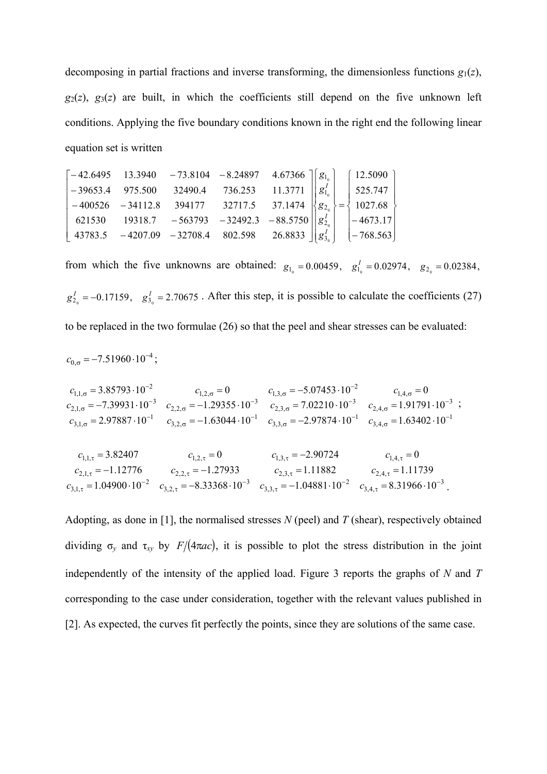decomposing in partial fractions and inverse transforming, the dimensionless functions  $g_1(z)$ ,  $g_2(z)$ ,  $g_3(z)$  are built, in which the coefficients still depend on the five unknown left conditions. Applying the five boundary conditions known in the right end the following linear equation set is written

$$
\begin{bmatrix} -42.6495 & 13.3940 & -73.8104 & -8.24897 & 4.67366 \ -39653.4 & 975.500 & 32490.4 & 736.253 & 11.3771 \ -400526 & -34112.8 & 394177 & 32717.5 & 37.1474 \ 621530 & 19318.7 & -563793 & -32492.3 & -88.5750 \ 43783.5 & -4207.09 & -32708.4 & 802.598 & 26.8833 \end{bmatrix} \begin{bmatrix} g_{1_0} \\ g_1' \\ g_2 \\ g_3' \\ g_4' \\ g_5' \\ g_6' \end{bmatrix} = \begin{bmatrix} 12.5090 \\ 525.747 \\ 1027.68 \\ -4673.17 \\ -768.563 \end{bmatrix}
$$

from which the five unknowns are obtained:  $g_{1} = 0.00459$ ,  $g_{1}^{I} = 0.02974$ ,  $g_{2} = 0.02384$ ,  $g_{2_0}^I$  = -0.17159,  $g_{3_0}^I$  = 2.70675. After this step, it is possible to calculate the coefficients (27) to be replaced in the two formulae (26) so that the peel and shear stresses can be evaluated:

$$
c_{0,\sigma} = -7.51960 \cdot 10^{-4};
$$
\n
$$
c_{1,1,\sigma} = 3.85793 \cdot 10^{-2}
$$
\n
$$
c_{1,2,\sigma} = 0
$$
\n
$$
c_{1,3,\sigma} = -5.07453 \cdot 10^{-2}
$$
\n
$$
c_{1,4,\sigma} = 0
$$
\n
$$
c_{2,1,\sigma} = -7.39931 \cdot 10^{-3}
$$
\n
$$
c_{2,2,\sigma} = -1.29355 \cdot 10^{-3}
$$
\n
$$
c_{2,3,\sigma} = 7.02210 \cdot 10^{-3}
$$
\n
$$
c_{2,4,\sigma} = 1.91791 \cdot 10^{-3}
$$
\n
$$
c_{3,1,\sigma} = 2.97887 \cdot 10^{-1}
$$
\n
$$
c_{3,2,\sigma} = -1.63044 \cdot 10^{-1}
$$
\n
$$
c_{3,3,\sigma} = -2.97874 \cdot 10^{-1}
$$
\n
$$
c_{1,1,\tau} = 3.82407
$$
\n
$$
c_{1,2,\tau} = 0
$$
\n
$$
c_{2,1,\tau} = -1.12776
$$
\n
$$
c_{2,2,\tau} = -1.27933
$$
\n
$$
c_{3,1,\tau} = 1.04900 \cdot 10^{-2}
$$
\n
$$
c_{3,2,\tau} = -8.33368 \cdot 10^{-3}
$$
\n
$$
c_{3,3,\tau} = -1.04881 \cdot 10^{-2}
$$
\n
$$
c_{3,4,\tau} = 8.31966 \cdot 10^{-3}
$$

Adopting, as done in [1], the normalised stresses *N* (peel) and *T* (shear), respectively obtained dividing  $\sigma_y$  and  $\tau_{xy}$  by  $F/(4\pi ac)$ , it is possible to plot the stress distribution in the joint independently of the intensity of the applied load. Figure 3 reports the graphs of *N* and *T* corresponding to the case under consideration, together with the relevant values published in [2]. As expected, the curves fit perfectly the points, since they are solutions of the same case.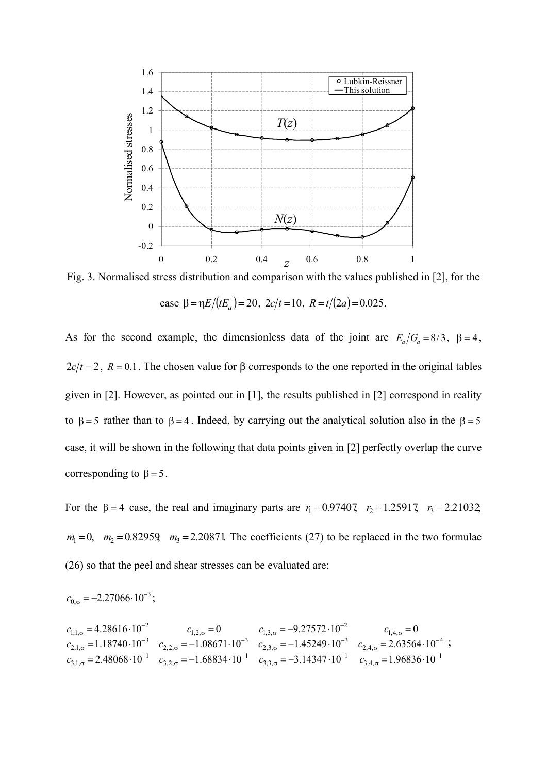

Fig. 3. Normalised stress distribution and comparison with the values published in [2], for the case  $\beta = \frac{1}{F} \left( \frac{tE_a}{t} \right) = 20$ ,  $\frac{2c}{t} = 10$ ,  $R = \frac{t}{2a} = 0.025$ .

As for the second example, the dimensionless data of the joint are  $E_a/G_a = 8/3$ ,  $\beta = 4$ ,  $2c/t = 2$ ,  $R = 0.1$ . The chosen value for  $\beta$  corresponds to the one reported in the original tables given in [2]. However, as pointed out in [1], the results published in [2] correspond in reality to  $\beta = 5$  rather than to  $\beta = 4$ . Indeed, by carrying out the analytical solution also in the  $\beta = 5$ case, it will be shown in the following that data points given in [2] perfectly overlap the curve corresponding to  $\beta = 5$ .

For the  $\beta = 4$  case, the real and imaginary parts are  $r_1 = 0.97407$ ,  $r_2 = 1.25917$ ,  $r_3 = 2.21032$ ;  $m_1 = 0$ ,  $m_2 = 0.82959$ ,  $m_3 = 2.20871$ . The coefficients (27) to be replaced in the two formulae (26) so that the peel and shear stresses can be evaluated are:

$$
c_{0,\sigma} = -2.27066 \cdot 10^{-3};
$$
\n
$$
c_{1,1,\sigma} = 4.28616 \cdot 10^{-2}
$$
\n
$$
c_{1,2,\sigma} = 0
$$
\n
$$
c_{1,3,\sigma} = -9.27572 \cdot 10^{-2}
$$
\n
$$
c_{1,4,\sigma} = 0
$$
\n
$$
c_{2,1,\sigma} = 1.18740 \cdot 10^{-3}
$$
\n
$$
c_{2,2,\sigma} = -1.08671 \cdot 10^{-3}
$$
\n
$$
c_{2,3,\sigma} = -1.45249 \cdot 10^{-3}
$$
\n
$$
c_{2,4,\sigma} = 2.63564 \cdot 10^{-4};
$$
\n
$$
c_{3,1,\sigma} = 2.48068 \cdot 10^{-1}
$$
\n
$$
c_{3,2,\sigma} = -1.68834 \cdot 10^{-1}
$$
\n
$$
c_{3,3,\sigma} = -3.14347 \cdot 10^{-1}
$$
\n
$$
c_{3,4,\sigma} = 1.96836 \cdot 10^{-1}
$$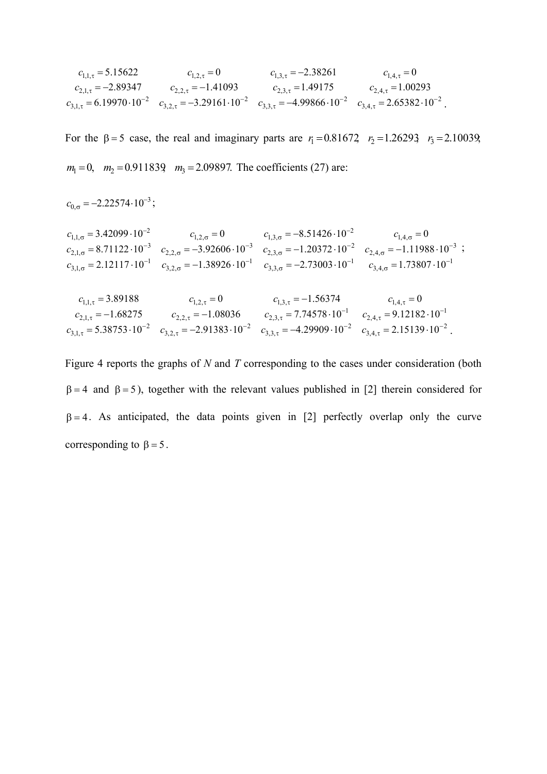$$
c_{1,1,\tau} = 5.15622
$$
  
\n
$$
c_{1,2,\tau} = 0
$$
  
\n
$$
c_{2,1,\tau} = -2.89347
$$
  
\n
$$
c_{3,2,\tau} = -1.41093
$$
  
\n
$$
c_{3,3,\tau} = -4.99866 \cdot 10^{-2}
$$
  
\n
$$
c_{1,4,\tau} = 0
$$
  
\n
$$
c_{2,1,\tau} = 6.19970 \cdot 10^{-2}
$$
  
\n
$$
c_{3,2,\tau} = -3.29161 \cdot 10^{-2}
$$
  
\n
$$
c_{3,3,\tau} = -4.99866 \cdot 10^{-2}
$$
  
\n
$$
c_{3,4,\tau} = 2.65382 \cdot 10^{-2}
$$

For the  $\beta = 5$  case, the real and imaginary parts are  $r_1 = 0.81672$ ,  $r_2 = 1.26293$ ,  $r_3 = 2.10039$ ;  $m_1 = 0$ ,  $m_2 = 0.911839$ ,  $m_3 = 2.09897$ . The coefficients (27) are:

$$
c_{0,\sigma} = -2.22574 \cdot 10^{-3};
$$
\n
$$
c_{1,1,\sigma} = 3.42099 \cdot 10^{-2}
$$
\n
$$
c_{1,2,\sigma} = 0
$$
\n
$$
c_{1,3,\sigma} = -8.51426 \cdot 10^{-2}
$$
\n
$$
c_{1,4,\sigma} = 0
$$
\n
$$
c_{2,1,\sigma} = 8.71122 \cdot 10^{-3}
$$
\n
$$
c_{2,2,\sigma} = -3.92606 \cdot 10^{-3}
$$
\n
$$
c_{2,3,\sigma} = -1.20372 \cdot 10^{-2}
$$
\n
$$
c_{2,4,\sigma} = -1.11988 \cdot 10^{-3};
$$
\n
$$
c_{3,1,\sigma} = 2.12117 \cdot 10^{-1}
$$
\n
$$
c_{3,2,\sigma} = -1.38926 \cdot 10^{-1}
$$
\n
$$
c_{3,3,\sigma} = -2.73003 \cdot 10^{-1}
$$
\n
$$
c_{3,4,\sigma} = 1.73807 \cdot 10^{-1}
$$
\n
$$
c_{1,1,\tau} = 3.89188
$$
\n
$$
c_{1,2,\tau} = 0
$$
\n
$$
c_{2,1,\tau} = -1.68275
$$
\n
$$
c_{2,2,\tau} = -1.08036
$$
\n
$$
c_{2,3,\tau} = 7.74578 \cdot 10^{-1}
$$
\n
$$
c_{2,4,\tau} = 9.12182 \cdot 10^{-1}
$$
\n
$$
c_{3,1,\tau} = 5.38753 \cdot 10^{-2}
$$
\n
$$
c_{3,2,\tau} = -2.91383 \cdot 10^{-2}
$$
\n
$$
c_{3,3,\tau} = -4.29909 \cdot 10^{-2}
$$
\n
$$
c_{3,4,\tau} = 2.15139 \cdot 10^{-2}.
$$

Figure 4 reports the graphs of *N* and *T* corresponding to the cases under consideration (both  $\beta = 4$  and  $\beta = 5$ ), together with the relevant values published in [2] therein considered for  $\beta = 4$ . As anticipated, the data points given in [2] perfectly overlap only the curve corresponding to  $\beta = 5$ .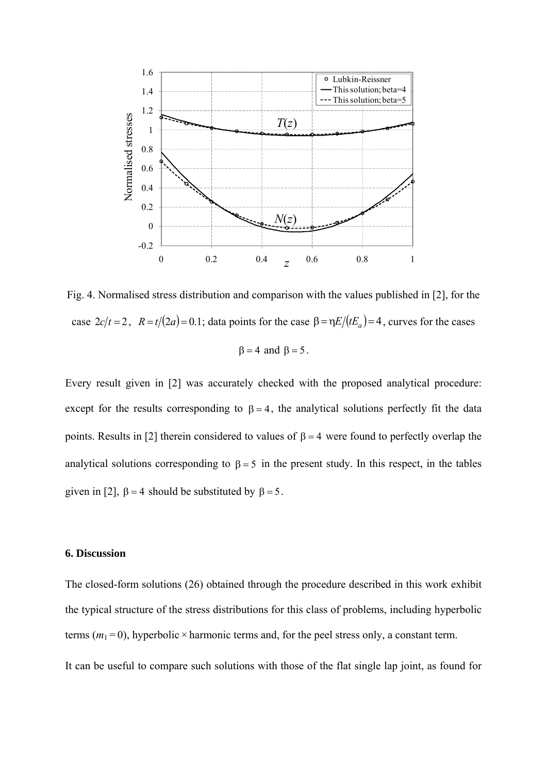

Fig. 4. Normalised stress distribution and comparison with the values published in [2], for the case  $2c/t = 2$ ,  $R = t/(2a) = 0.1$ ; data points for the case  $\beta = \frac{\eta E}{tE_a} = 4$ , curves for the cases

 $\beta = 4$  and  $\beta = 5$ .

Every result given in [2] was accurately checked with the proposed analytical procedure: except for the results corresponding to  $\beta = 4$ , the analytical solutions perfectly fit the data points. Results in [2] therein considered to values of  $\beta = 4$  were found to perfectly overlap the analytical solutions corresponding to  $\beta = 5$  in the present study. In this respect, in the tables given in [2],  $\beta = 4$  should be substituted by  $\beta = 5$ .

# **6. Discussion**

The closed-form solutions (26) obtained through the procedure described in this work exhibit the typical structure of the stress distributions for this class of problems, including hyperbolic terms  $(m_1 = 0)$ , hyperbolic  $\times$  harmonic terms and, for the peel stress only, a constant term. It can be useful to compare such solutions with those of the flat single lap joint, as found for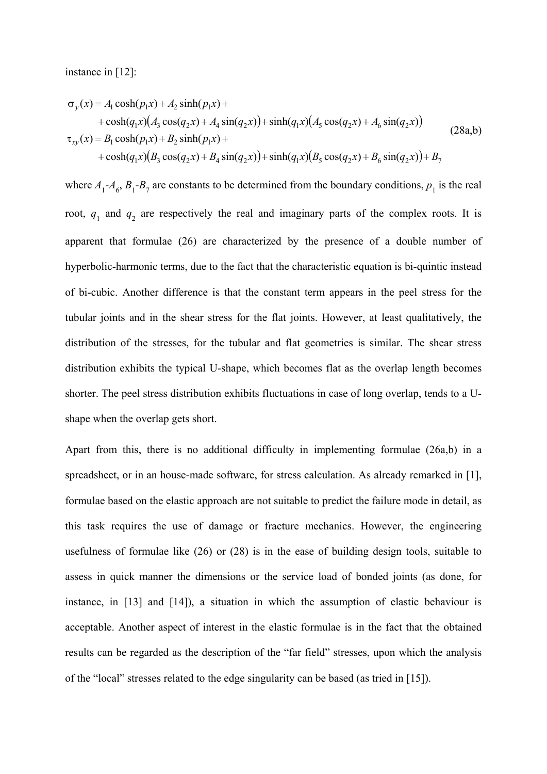instance in [12]:

$$
\sigma_y(x) = A_1 \cosh(p_1 x) + A_2 \sinh(p_1 x) + \cosh(q_1 x)(A_3 \cos(q_2 x) + A_4 \sin(q_2 x)) + \sinh(q_1 x)(A_5 \cos(q_2 x) + A_6 \sin(q_2 x))
$$
  
\n
$$
\tau_{xy}(x) = B_1 \cosh(p_1 x) + B_2 \sinh(p_1 x) + \cosh(q_1 x)(B_3 \cos(q_2 x) + B_4 \sin(q_2 x)) + \sinh(q_1 x)(B_5 \cos(q_2 x) + B_6 \sin(q_2 x)) + B_7
$$
\n(28a,b)

where  $A_1 - A_6$ ,  $B_1 - B_7$  are constants to be determined from the boundary conditions,  $p_1$  is the real root,  $q_1$  and  $q_2$  are respectively the real and imaginary parts of the complex roots. It is apparent that formulae (26) are characterized by the presence of a double number of hyperbolic-harmonic terms, due to the fact that the characteristic equation is bi-quintic instead of bi-cubic. Another difference is that the constant term appears in the peel stress for the tubular joints and in the shear stress for the flat joints. However, at least qualitatively, the distribution of the stresses, for the tubular and flat geometries is similar. The shear stress distribution exhibits the typical U-shape, which becomes flat as the overlap length becomes shorter. The peel stress distribution exhibits fluctuations in case of long overlap, tends to a Ushape when the overlap gets short.

Apart from this, there is no additional difficulty in implementing formulae (26a,b) in a spreadsheet, or in an house-made software, for stress calculation. As already remarked in [1], formulae based on the elastic approach are not suitable to predict the failure mode in detail, as this task requires the use of damage or fracture mechanics. However, the engineering usefulness of formulae like (26) or (28) is in the ease of building design tools, suitable to assess in quick manner the dimensions or the service load of bonded joints (as done, for instance, in [13] and [14]), a situation in which the assumption of elastic behaviour is acceptable. Another aspect of interest in the elastic formulae is in the fact that the obtained results can be regarded as the description of the "far field" stresses, upon which the analysis of the "local" stresses related to the edge singularity can be based (as tried in [15]).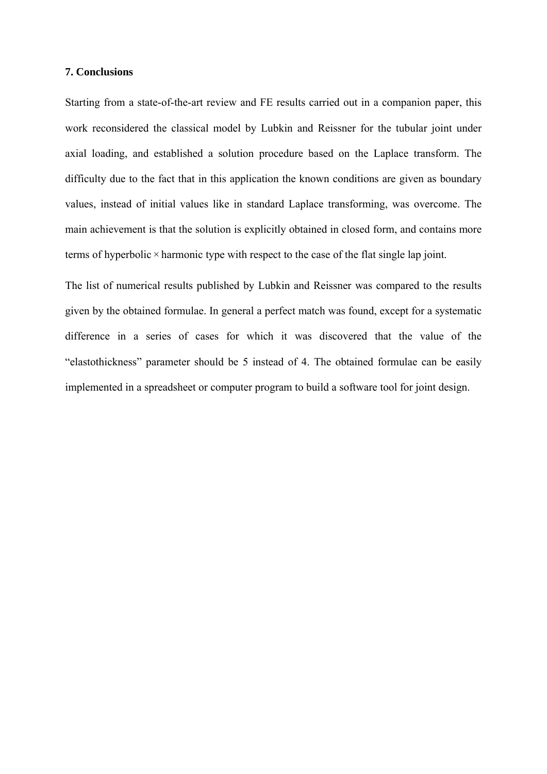## **7. Conclusions**

Starting from a state-of-the-art review and FE results carried out in a companion paper, this work reconsidered the classical model by Lubkin and Reissner for the tubular joint under axial loading, and established a solution procedure based on the Laplace transform. The difficulty due to the fact that in this application the known conditions are given as boundary values, instead of initial values like in standard Laplace transforming, was overcome. The main achievement is that the solution is explicitly obtained in closed form, and contains more terms of hyperbolic  $\times$  harmonic type with respect to the case of the flat single lap joint.

The list of numerical results published by Lubkin and Reissner was compared to the results given by the obtained formulae. In general a perfect match was found, except for a systematic difference in a series of cases for which it was discovered that the value of the "elastothickness" parameter should be 5 instead of 4. The obtained formulae can be easily implemented in a spreadsheet or computer program to build a software tool for joint design.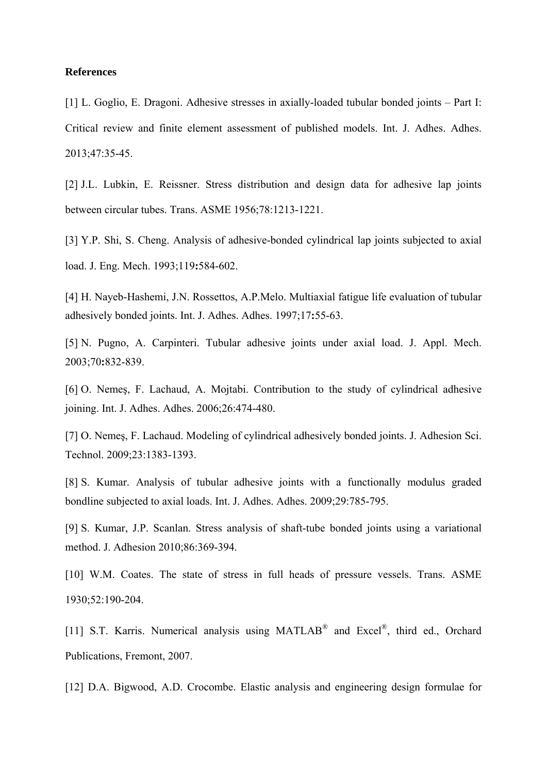#### **References**

[1] L. Goglio, E. Dragoni. Adhesive stresses in axially-loaded tubular bonded joints – Part I: Critical review and finite element assessment of published models. Int. J. Adhes. Adhes. 2013;47:35-45.

[2] J.L. Lubkin, E. Reissner. Stress distribution and design data for adhesive lap joints between circular tubes. Trans. ASME 1956;78:1213-1221.

[3] Y.P. Shi, S. Cheng. Analysis of adhesive-bonded cylindrical lap joints subjected to axial load. J. Eng. Mech. 1993;119**:**584-602.

[4] H. Nayeb-Hashemi, J.N. Rossettos, A.P.Melo. Multiaxial fatigue life evaluation of tubular adhesively bonded joints. Int. J. Adhes. Adhes. 1997;17**:**55-63.

[5] N. Pugno, A. Carpinteri. Tubular adhesive joints under axial load. J. Appl. Mech. 2003;70**:**832-839.

[6] O. Nemeş, F. Lachaud, A. Mojtabi. Contribution to the study of cylindrical adhesive joining. Int. J. Adhes. Adhes. 2006;26:474-480.

[7] O. Nemeş, F. Lachaud. Modeling of cylindrical adhesively bonded joints. J. Adhesion Sci. Technol. 2009;23:1383-1393.

[8] S. Kumar. Analysis of tubular adhesive joints with a functionally modulus graded bondline subjected to axial loads. Int. J. Adhes. Adhes. 2009;29:785-795.

[9] S. Kumar, J.P. Scanlan. Stress analysis of shaft-tube bonded joints using a variational method. J. Adhesion 2010;86:369-394.

[10] W.M. Coates. The state of stress in full heads of pressure vessels. Trans. ASME 1930;52:190-204.

[11] S.T. Karris. Numerical analysis using MATLAB® and Excel®, third ed., Orchard Publications, Fremont, 2007.

[12] D.A. Bigwood, A.D. Crocombe. Elastic analysis and engineering design formulae for